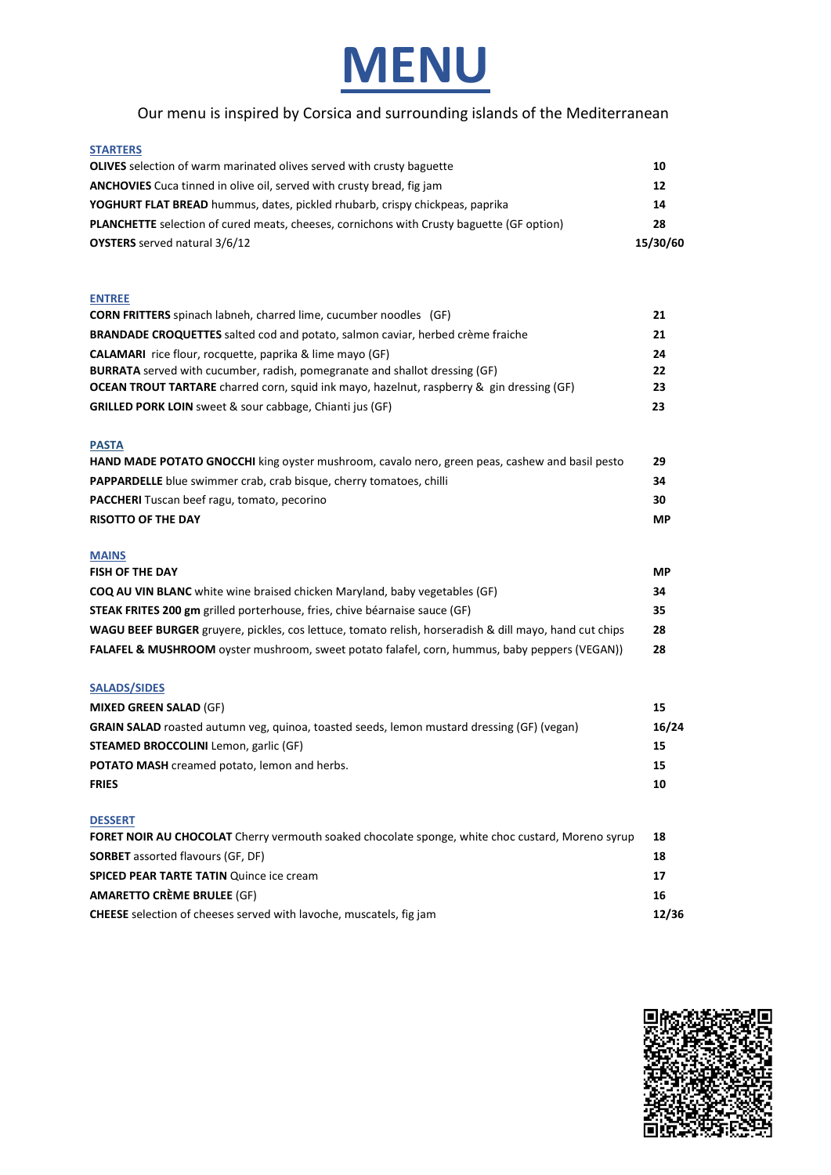

## Our menu is inspired by Corsica and surrounding islands of the Mediterranean

| <b>STARTERS</b>                                                                                                |           |
|----------------------------------------------------------------------------------------------------------------|-----------|
| OLIVES selection of warm marinated olives served with crusty baguette                                          | 10        |
| ANCHOVIES Cuca tinned in olive oil, served with crusty bread, fig jam                                          | 12        |
| YOGHURT FLAT BREAD hummus, dates, pickled rhubarb, crispy chickpeas, paprika                                   | 14        |
| PLANCHETTE selection of cured meats, cheeses, cornichons with Crusty baguette (GF option)                      | 28        |
| <b>OYSTERS</b> served natural 3/6/12                                                                           | 15/30/60  |
|                                                                                                                |           |
| <b>ENTREE</b><br><b>CORN FRITTERS</b> spinach labneh, charred lime, cucumber noodles (GF)                      | 21        |
| <b>BRANDADE CROQUETTES</b> salted cod and potato, salmon caviar, herbed crème fraiche                          | 21        |
| <b>CALAMARI</b> rice flour, rocquette, paprika & lime mayo (GF)                                                | 24        |
| <b>BURRATA</b> served with cucumber, radish, pomegranate and shallot dressing (GF)                             | 22        |
| <b>OCEAN TROUT TARTARE</b> charred corn, squid ink mayo, hazelnut, raspberry & gin dressing (GF)               | 23        |
| <b>GRILLED PORK LOIN</b> sweet & sour cabbage, Chianti jus (GF)                                                | 23        |
|                                                                                                                |           |
| <b>PASTA</b><br>HAND MADE POTATO GNOCCHI king oyster mushroom, cavalo nero, green peas, cashew and basil pesto | 29        |
| PAPPARDELLE blue swimmer crab, crab bisque, cherry tomatoes, chilli                                            | 34        |
| PACCHERI Tuscan beef ragu, tomato, pecorino                                                                    | 30        |
| <b>RISOTTO OF THE DAY</b>                                                                                      | <b>MP</b> |
|                                                                                                                |           |
| <b>MAINS</b><br><b>FISH OF THE DAY</b>                                                                         | <b>MP</b> |
| <b>COQ AU VIN BLANC</b> white wine braised chicken Maryland, baby vegetables (GF)                              | 34        |
| STEAK FRITES 200 gm grilled porterhouse, fries, chive béarnaise sauce (GF)                                     | 35        |
| WAGU BEEF BURGER gruyere, pickles, cos lettuce, tomato relish, horseradish & dill mayo, hand cut chips         | 28        |
| FALAFEL & MUSHROOM oyster mushroom, sweet potato falafel, corn, hummus, baby peppers (VEGAN))                  | 28        |
|                                                                                                                |           |
| <b>SALADS/SIDES</b>                                                                                            |           |
| <b>MIXED GREEN SALAD (GF)</b>                                                                                  | 15        |
| GRAIN SALAD roasted autumn veg, quinoa, toasted seeds, lemon mustard dressing (GF) (vegan)                     | 16/24     |
| <b>STEAMED BROCCOLINI</b> Lemon, garlic (GF)                                                                   | 15        |
| POTATO MASH creamed potato, lemon and herbs.                                                                   | 15        |
| <b>FRIES</b>                                                                                                   | 10        |
| <b>DESSERT</b>                                                                                                 |           |
| FORET NOIR AU CHOCOLAT Cherry vermouth soaked chocolate sponge, white choc custard, Moreno syrup               | 18        |
| <b>SORBET</b> assorted flavours (GF, DF)                                                                       | 18        |
| SPICED PEAR TARTE TATIN Quince ice cream                                                                       | 17        |
| <b>AMARETTO CRÈME BRULEE (GF)</b>                                                                              | 16        |
| CHEESE selection of cheeses served with lavoche, muscatels, fig jam                                            | 12/36     |